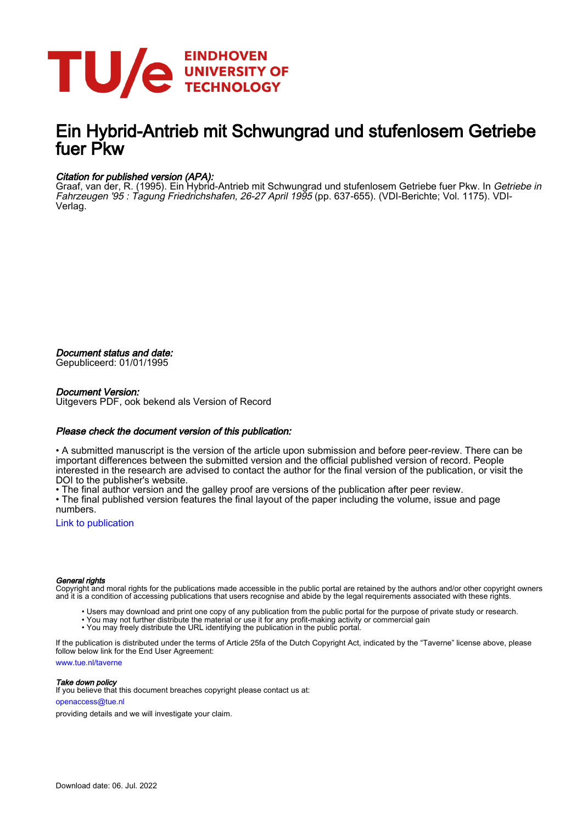

# Ein Hybrid-Antrieb mit Schwungrad und stufenlosem Getriebe fuer P<sub>kw</sub>

## Citation for published version (APA):

Graaf, van der, R. (1995). Ein Hybrid-Antrieb mit Schwungrad und stufenlosem Getriebe fuer Pkw. In Getriebe in Fahrzeugen '95 : Tagung Friedrichshafen, 26-27 April 1995 (pp. 637-655). (VDI-Berichte; Vol. 1175). VDI-Verlag.

Document status and date:

Gepubliceerd: 01/01/1995

### Document Version:

Uitgevers PDF, ook bekend als Version of Record

### Please check the document version of this publication:

• A submitted manuscript is the version of the article upon submission and before peer-review. There can be important differences between the submitted version and the official published version of record. People interested in the research are advised to contact the author for the final version of the publication, or visit the DOI to the publisher's website.

• The final author version and the galley proof are versions of the publication after peer review.

• The final published version features the final layout of the paper including the volume, issue and page numbers.

[Link to publication](https://research.tue.nl/en/publications/11b2ade0-d0a3-446b-9974-17304d4d59d3)

### General rights

Copyright and moral rights for the publications made accessible in the public portal are retained by the authors and/or other copyright owners and it is a condition of accessing publications that users recognise and abide by the legal requirements associated with these rights.

- Users may download and print one copy of any publication from the public portal for the purpose of private study or research.
- You may not further distribute the material or use it for any profit-making activity or commercial gain
- You may freely distribute the URL identifying the publication in the public portal.

If the publication is distributed under the terms of Article 25fa of the Dutch Copyright Act, indicated by the "Taverne" license above, please follow below link for the End User Agreement:

www.tue.nl/taverne

**Take down policy**<br>If you believe that this document breaches copyright please contact us at:

openaccess@tue.nl

providing details and we will investigate your claim.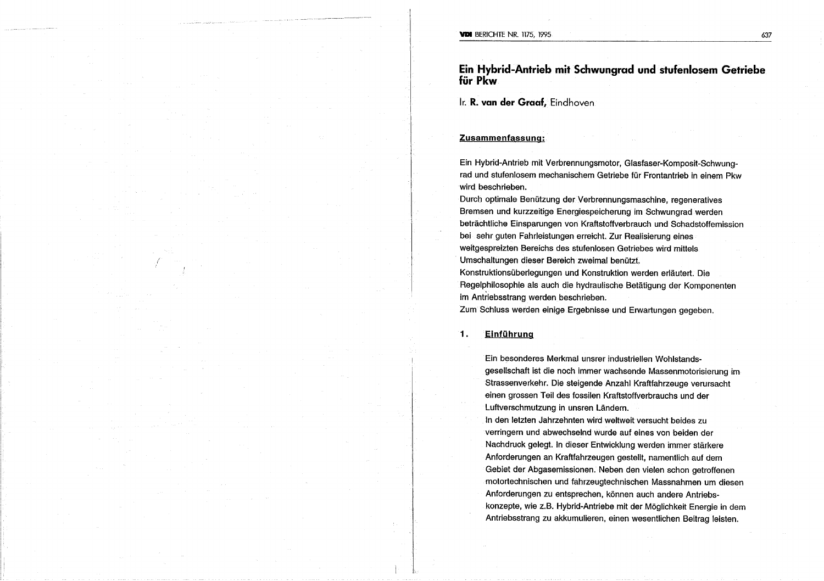Ein Hybrid-Antrieb mit Schwungrad und stufenlosem Getriebe für Pkw

Ir. R. van der Graaf, Eindhoven

### Zusammenfassung:

Ein Hybrid-Antrieb mit Verbrennungsmotor, Glasfaser-Komposit-Schwungrad und stufenlosem mechanischem Getriebe für Frontantrieb in einem Pkw wird beschrieben.

Durch optimale Benützung der Verbrennungsmaschine, regeneratives Bremsen und kurzzeitige Energiespeicherung im Schwungrad werden beträchtliche Einsparungen von Kraftstoffverbrauch und Schadstoffemission bei sehr guten Fahrleistungen erreicht. Zur Realisierung eines weitgespreizten Bereichs des stufenlosen Getriebes wird mittels Umschaltungen dieser Bereich zweimal benützt. Konstruktionsüberlegungen und Konstruktion werden erläutert. Die

Regelphilosophie als auch die hydraulische Betätigung der Komponenten im Antriebsstrang werden beschrieben.

Zum Schluss werden einige Ergebnisse und Erwartungen gegeben.

#### Einführung  $\mathbf{1}$ .

Ein besonderes Merkmal unsrer industriellen Wohlstandsgesellschaft ist die noch immer wachsende Massenmotorisierung im Strassenverkehr. Die steigende Anzahl Kraftfahrzeuge verursacht einen grossen Teil des fossilen Kraftstoffverbrauchs und der Luftverschmutzung in unsren Ländern.

In den letzten Jahrzehnten wird weltweit versucht beides zu verringern und abwechselnd wurde auf eines von beiden der Nachdruck gelegt. In dieser Entwicklung werden immer stärkere Anforderungen an Kraftfahrzeugen gestellt, namentlich auf dem Gebiet der Abgasemissionen. Neben den vielen schon getroffenen motortechnischen und fahrzeugtechnischen Massnahmen um diesen Anforderungen zu entsprechen, können auch andere Antriebskonzepte, wie z.B. Hybrid-Antriebe mit der Möglichkeit Energie in dem Antriebsstrang zu akkumulieren, einen wesentlichen Beitrag leisten.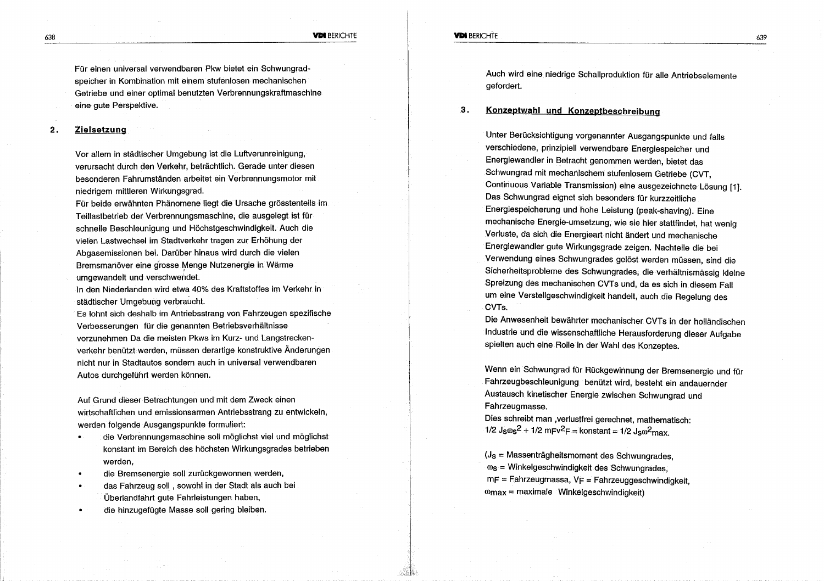**VDI BERICHTE** 

Für einen universal verwendbaren Pkw bietet ein Schwungradspeicher in Kombination mit einem stufenlosen mechanischen Getriebe und einer optimal benutzten Verbrennungskraftmaschine eine aute Perspektive.

#### $2.$ **Zielsetzung**

Vor allem in städtischer Umgebung ist die Luftverunreinigung, verursacht durch den Verkehr, beträchtlich. Gerade unter diesen besonderen Fahrumständen arbeitet ein Verbrennungsmotor mit niedrigem mittleren Wirkungsgrad.

Für beide erwähnten Phänomene liegt die Ursache grösstenteils im Teillastbetrieb der Verbrennungsmaschine, die ausgelegt ist für schnelle Beschleunigung und Höchstgeschwindigkeit. Auch die vielen Lastwechsel im Stadtverkehr tragen zur Erhöhung der Abgasemissionen bei. Darüber hinaus wird durch die vielen Bremsmanöver eine grosse Menge Nutzenergie in Wärme umgewandelt und verschwendet.

In den Niederlanden wird etwa 40% des Kraftstoffes im Verkehr in städtischer Umgebung verbraucht.

Es lohnt sich deshalb im Antriebsstrang von Fahrzeugen spezifische Verbesserungen für die genannten Betriebsverhältnisse vorzunehmen Da die meisten Pkws im Kurz- und Langstreckenverkehr benützt werden, müssen derartige konstruktive Änderungen nicht nur in Stadtautos sondern auch in universal verwendbaren Autos durchgeführt werden können.

Auf Grund dieser Betrachtungen und mit dem Zweck einen wirtschaftlichen und emissionsarmen Antriebsstrang zu entwickeln, werden folgende Ausgangspunkte formuliert:

- die Verbrennungsmaschine soll möglichst viel und möglichst konstant im Bereich des höchsten Wirkungsgrades betrieben werden.
- die Bremsenergie soll zurückgewonnen werden,
- das Fahrzeug soll, sowohl in der Stadt als auch bei  $\bullet$ Überlandfahrt gute Fahrleistungen haben,
- die hinzugefügte Masse soll gering bleiben.

Auch wird eine niedrige Schallproduktion für alle Antriebselemente gefordert.

3. Konzeptwahl und Konzeptbeschreibung

> Unter Berücksichtigung vorgenannter Ausgangspunkte und falls verschiedene, prinzipiell verwendbare Energiespeicher und Energiewandler in Betracht genommen werden, bietet das Schwungrad mit mechanischem stufenlosem Getriebe (CVT, Continuous Variable Transmission) eine ausgezeichnete Lösung [1]. Das Schwungrad eignet sich besonders für kurzzeitliche Energiespeicherung und hohe Leistung (peak-shaving). Eine mechanische Energie-umsetzung, wie sie hier stattfindet, hat wenig Verluste, da sich die Energieart nicht ändert und mechanische Energiewandler gute Wirkungsgrade zeigen. Nachteile die bei Verwendung eines Schwungrades gelöst werden müssen, sind die Sicherheitsprobleme des Schwungrades, die verhältnismässig kleine Spreizung des mechanischen CVTs und, da es sich in diesem Fall um eine Verstellgeschwindigkeit handelt, auch die Regelung des CVTs.

> Die Anwesenheit bewährter mechanischer CVTs in der holländischen Industrie und die wissenschaftliche Herausforderung dieser Aufgabe spielten auch eine Rolle in der Wahl des Konzeptes.

> Wenn ein Schwungrad für Rückgewinnung der Bremsenergie und für Fahrzeugbeschleunigung benützt wird, besteht ein andauernder Austausch kinetischer Energie zwischen Schwungrad und Fahrzeugmasse.

Dies schreibt man , verlustfrei gerechnet, mathematisch:  $1/2$  J<sub>S</sub> $\omega$ <sub>S</sub><sup>2</sup> + 1/2 mFv<sup>2</sup>F = konstant = 1/2 J<sub>S</sub> $\omega$ <sup>2</sup>max.

(Js = Massenträgheitsmoment des Schwungrades,  $\omega_{\rm S}$  = Winkelgeschwindigkeit des Schwungrades.  $mF =$  Fahrzeugmassa, VF = Fahrzeuggeschwindigkeit,  $\omega_{\text{max}}$  = maximale Winkelgeschwindigkeit)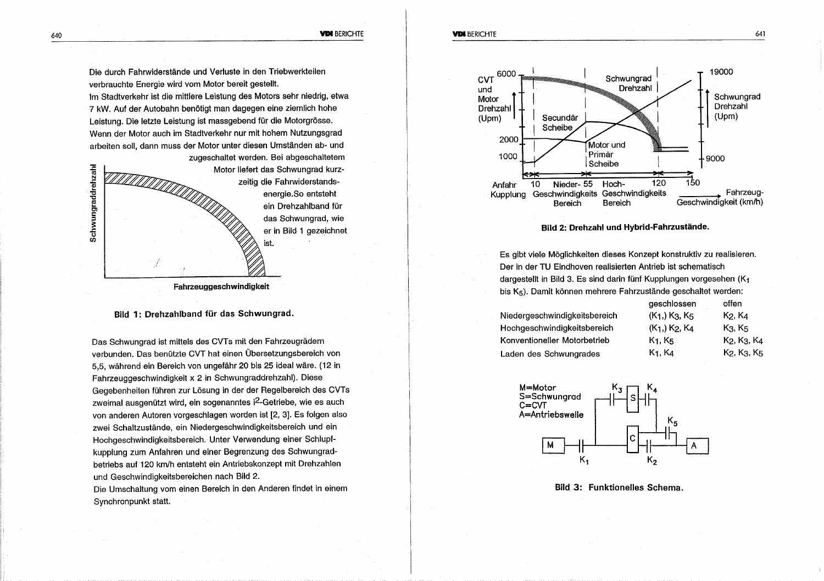**VIDE BERICHTE** 

Die durch Fahrwiderstände und Verluste in den Triebwerkteilen verbrauchte Energie wird vom Motor bereit gestellt.

Im Stadtverkehr ist die mittlere Leistung des Motors sehr niedrig, etwa 7 kW. Auf der Autobahn benötigt man dagegen eine ziemlich hohe Leistung. Die letzte Leistung ist massgebend für die Motorgrösse. Wenn der Motor auch im Stadtverkehr nur mit hohem Nutzungsgrad arbeiten soll, dann muss der Motor unter diesen Umständen ab- und



#### Fahrzeuggeschwindigkeit

### Bild 1: Drehzahlband für das Schwungrad.

Das Schwungrad ist mittels des CVTs mit den Fahrzeugrädern verbunden. Das benützte CVT hat einen Übersetzungsbereich von 5.5. während ein Bereich von ungefähr 20 bis 25 ideal wäre. (12 in Fahrzeuggeschwindigkeit x 2 in Schwungraddrehzahl). Diese Gegebenheiten führen zur Lösung in der der Regelbereich des CVTs zweimal ausgenützt wird, ein sogenanntes i<sup>2</sup>-Getriebe, wie es auch von anderen Autoren vorgeschlagen worden ist [2, 3]. Es folgen also zwei Schaltzustände, ein Niedergeschwindigkeitsbereich und ein Hochgeschwindigkeitsbereich. Unter Verwendung einer Schlupfkupplung zum Anfahren und einer Begrenzung des Schwungradbetriebs auf 120 km/h entsteht ein Antriebskonzept mit Drehzahlen und Geschwindigkeitsbereichen nach Bild 2.

Die Umschaltung vom einen Bereich in den Anderen findet in einem Synchronpunkt statt.



#### Bild 2: Drehzahl und Hybrid-Fahrzustände.

Es gibt viele Möglichkeiten dieses Konzept konstruktiv zu realisieren. Der in der TU Eindhoven realisierten Antrieb ist schematisch dargestellt in Bild 3. Es sind darin fünf Kupplungen vorgesehen (K1 bis K<sub>5</sub>). Damit können mehrere Fahrzustände geschaltet werden:

| $(K_1)$ K <sub>3</sub> , K <sub>5</sub>            | K2, K4                          |
|----------------------------------------------------|---------------------------------|
| (K <sub>1</sub> ,) K <sub>2</sub> , K <sub>4</sub> | K <sub>3</sub> , K <sub>5</sub> |
| K1. K5.                                            | K2, K3, K4                      |
| K <sub>1</sub> , K <sub>4</sub>                    | K2, K3, K5                      |
|                                                    |                                 |

*geschlossen* 

offen



**Bild 3: Funktionelles Schema.**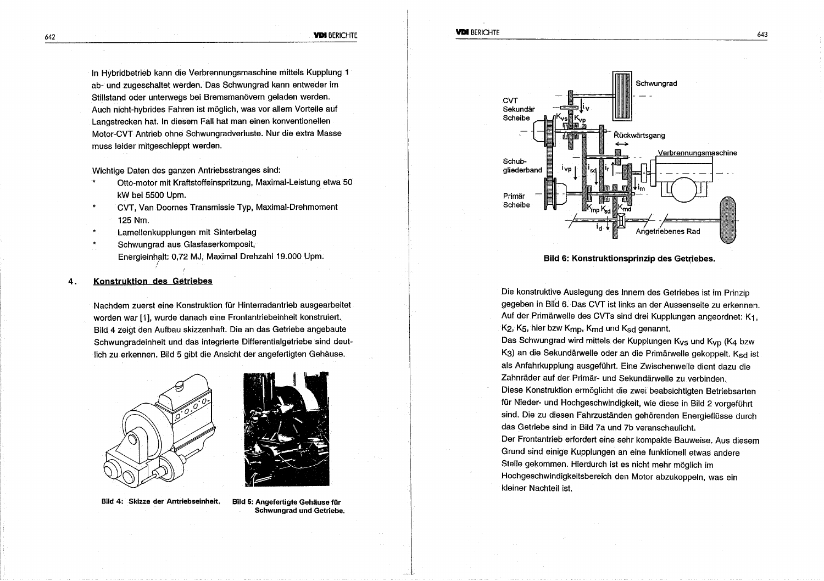In Hybridbetrieb kann die Verbrennungsmaschine mittels Kupplung 1 ab- und zugeschaltet werden. Das Schwungrad kann entweder im Stillstand oder unterwegs bei Bremsmanövern geladen werden. Auch nicht-hybrides Fahren ist möglich, was vor allem Vorteile auf Langstrecken hat. In diesem Fall hat man einen konventionellen Motor-CVT Antrieb ohne Schwungradverluste. Nur die extra Masse muss leider mitgeschleppt werden.

Wichtige Daten des ganzen Antriebsstranges sind:

- Otto-motor mit Kraftstoffeinspritzung, Maximal-Leistung etwa 50 kW bei 5500 Upm.
- $\star$ CVT. Van Doornes Transmissie Typ, Maximal-Drehmoment 125 Nm.
- Lamellenkupplungen mit Sinterbelag
- Schwungrad aus Glasfaserkomposit, Energieinhalt: 0.72 MJ, Maximal Drehzahl 19.000 Upm.

#### Konstruktion des Getriebes 4.

Nachdem zuerst eine Konstruktion für Hinterradantrieb ausgearbeitet worden war [1], wurde danach eine Frontantriebeinheit konstruiert. Bild 4 zeigt den Aufbau skizzenhaft. Die an das Getriebe angebaute Schwungradeinheit und das integrierte Differentialgetriebe sind deutlich zu erkennen. Bild 5 gibt die Ansicht der angefertigten Gehäuse.





Bild 4: Skizze der Antriebseinheit.

Bild 5: Angefertigte Gehäuse für **Schwungrad und Getriebe.** 



Bild 6: Konstruktionsprinzip des Getriebes.

Die konstruktive Auslegung des Innern des Getriebes ist im Prinzip gegeben in Bild 6. Das CVT ist links an der Aussenseite zu erkennen. Auf der Primärwelle des CVTs sind drei Kupplungen angeordnet: K1, K<sub>2</sub>, K<sub>5</sub>, hier bzw K<sub>mp</sub>, K<sub>md</sub> und K<sub>sd</sub> genannt.

Das Schwungrad wird mittels der Kupplungen K<sub>VS</sub> und K<sub>VD</sub> (K4 bzw K3) an die Sekundärwelle oder an die Primärwelle gekoppelt. Ksd ist als Anfahrkupplung ausgeführt. Eine Zwischenwelle dient dazu die Zahnräder auf der Primär- und Sekundärwelle zu verbinden. Diese Konstruktion ermöglicht die zwei beabsichtigten Betriebsarten für Nieder- und Hochgeschwindigkeit, wie diese in Bild 2 vorgeführt sind. Die zu diesen Fahrzuständen gehörenden Energieflüsse durch das Getriebe sind in Bild 7a und 7b veranschaulicht. Der Frontantrieb erfordert eine sehr kompakte Bauweise. Aus diesem Grund sind einige Kupplungen an eine funktionell etwas andere Stelle gekommen. Hierdurch ist es nicht mehr möglich im Hochgeschwindigkeitsbereich den Motor abzukoppeln, was ein kleiner Nachteil ist.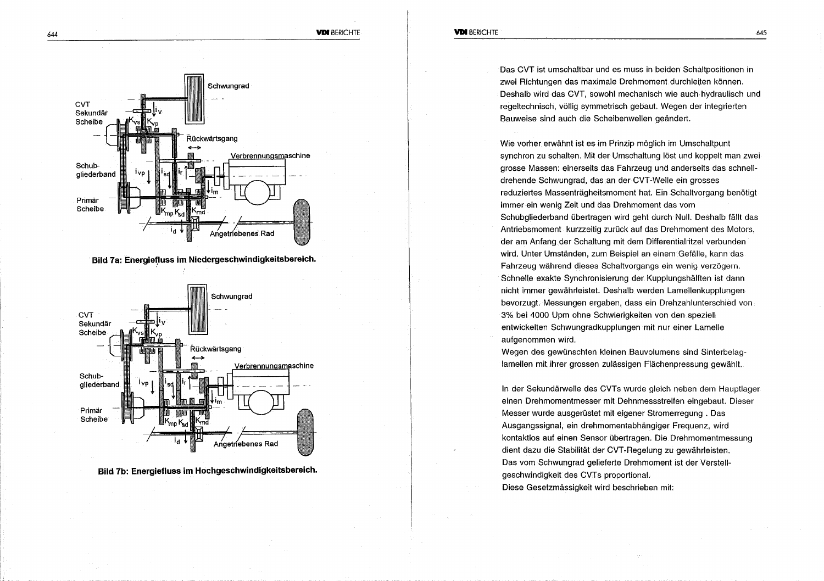

Das CVT ist umschaltbar und es muss in beiden Schaltbositionen in zwei Richtungen das maximale Drehmoment durchleiten können. Deshalb wird das CVT, sowohl mechanisch wie auch hydraulisch und regeltechnisch, völlig symmetrisch gebaut. Wegen der integrierten Bauweise sind auch die Scheibenwellen geändert.

Wie vorher erwähnt ist es im Prinzip möglich im Umschaltpunt synchron zu schalten. Mit der Umschaltung löst und koppelt man zwei grosse Massen: einerseits das Fahrzeug und anderseits das schnelldrehende Schwungrad, das an der CVT-Welle ein grosses reduziertes Massenträgheitsmoment hat. Ein Schaltvorgang benötigt immer ein wenig Zeit und das Drehmoment das vom Schubgliederband übertragen wird geht durch Null. Deshalb fällt das Antriebsmoment kurzzeitig zurück auf das Drehmoment des Motors, der am Anfang der Schaltung mit dem Differentialritzel verbunden wird. Unter Umständen, zum Beispiel an einem Gefälle, kann das Fahrzeug während dieses Schaltvorgangs ein wenig verzögern. Schnelle exakte Synchronisierung der Kupplungshälften ist dann nicht immer gewährleistet. Deshalb werden Lamellenkupplungen bevorzugt. Messungen ergaben, dass ein Drehzahlunterschied von 3% bei 4000 Upm ohne Schwierigkeiten von den speziell entwickelten Schwungradkupplungen mit nur einer Lamelle aufgenommen wird.

Wegen des gewünschten kleinen Bauvolumens sind Sinterbelaglamellen mit ihrer grossen zulässigen Flächenpressung gewählt.

In der Sekundärwelle des CVTs wurde gleich neben dem Hauptlager einen Drehmomentmesser mit Dehnmessstreifen eingebaut. Dieser Messer wurde ausgerüstet mit eigener Stromerregung. Das Ausgangssignal, ein drehmomentabhängiger Freguenz, wird kontaktios auf einen Sensor übertragen. Die Drehmomentmessung dient dazu die Stabilität der CVT-Regelung zu gewährleisten. Das vom Schwungrad gelieferte Drehmoment ist der Verstellgeschwindigkeit des CVTs proportional. Diese Gesetzmässigkeit wird beschrieben mit:



645



Bild 7a: Energiefluss im Niedergeschwindigkeitsbereich.



**Bild 7b: Energiefluss im Hochgeschwindigkeitsbereich.**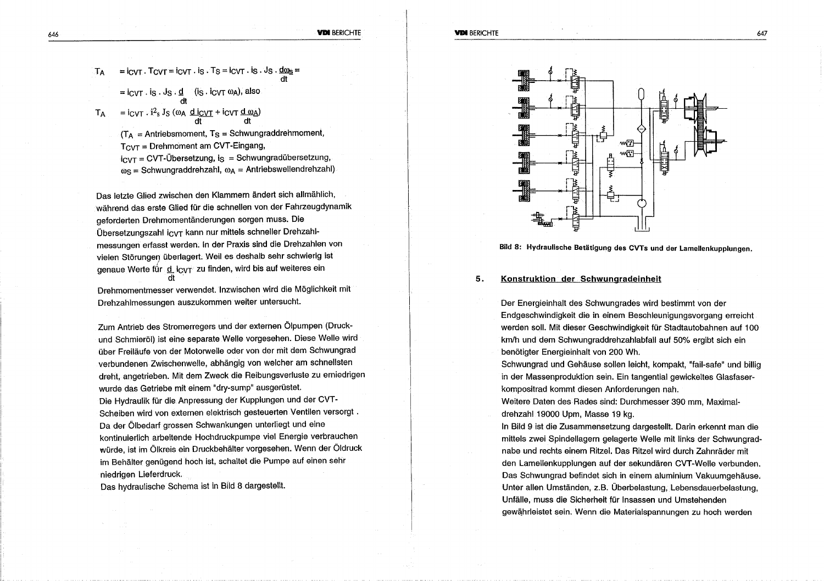- $=$   $i_{\text{CVT}}$ . T $_{\text{CVT}}$  =  $i_{\text{CVT}}$ .  $i_{\text{S}}$ . T $_{\text{S}}$  =  $i_{\text{CVT}}$ .  $i_{\text{S}}$ . J $_{\text{S}}$ .  $\frac{d\omega_{\text{S}}}{dt}$  $=$   $i_{\text{CVT}} \cdot i_{\text{S}} \cdot J_{\text{S}} \cdot \underline{d}$  (is  $\cdot i_{\text{CVT}} \omega_{\text{A}}$ ), also
- $T_A$  =  $i_{CVT}$  :  $i^2s$  J<sub>S</sub> ( $\omega_A$  d<sub>ic VT</sub> +  $i_{CVT}$  dt dt dt

 $T_A$  = Antriebsmoment, T<sub>S</sub> = Schwungraddrehmoment,  $T_{\text{CVT}}$  = Drehmoment am CVT-Eingang,  $i_{\text{CVT}}$  = CVT-Übersetzung, is = Schwungradübersetzung,  $\omega_{\rm S}$  = Schwungraddrehzahl,  $\omega_{\rm A}$  = Antriebswellendrehzahl)

Das letzte Glied zwischen den Klammern ändert sich allmählich, während das erste Glied für die schnellen von der Fahrzeugdynamik geforderten Drehmomentänderungen sorgen muss. Die Übersetzungszahl icyT kann nur mittels schneller Drehzahlmessungen erfasst werden. In der Praxis sind die Drehzahlen von vielen Störungen überlagert. Weil es deshalb sehr schwierig ist genaue Werte für d icyt zu finden, wird bis auf weiteres ein

Drehmomentmesser verwendet. Inzwischen wird die Möglichkeit mit Drehzahlmessungen auszukommen weiter untersucht.

Zum Antrieb des Stromerregers und der externen Ölpumpen (Druckund Schmieröl) ist eine separate Welle vorgesehen. Diese Welle wird über Freiläufe von der Motorwelle oder von der mit dem Schwungrad verbundenen Zwischenwelle, abhängig von welcher am schnellsten dreht, angetrieben. Mit dem Zweck die Reibungsverluste zu erniedrigen wurde das Getriebe mit einem "dry-sump" ausgerüstet. Die Hydraulik für die Anpressung der Kupplungen und der CVT-Scheiben wird von externen elektrisch gesteuerten Ventilen versorgt. Da der Ölbedarf grossen Schwankungen unterliegt und eine kontinuierlich arbeitende Hochdruckpumpe viel Energie verbrauchen würde, ist im Ölkreis ein Druckbehälter vorgesehen. Wenn der Öldruck im Behälter genügend hoch ist, schaltet die Pumpe auf einen sehr niedrigen Lieferdruck.

Das hydraulische Schema ist in Bild 8 dargestellt.



### Bild 8: Hydraulische Betätigung des CVTs und der Lamellenkupplungen.

#### Konstruktion der Schwungradeinheit 5.

Der Energieinhalt des Schwungrades wird bestimmt von der Endgeschwindigkeit die in einem Beschleunigungsvorgang erreicht werden soll. Mit dieser Geschwindigkeit für Stadtautobahnen auf 100 km/h und dem Schwungraddrehzahlabfall auf 50% ergibt sich ein benötigter Energieinhalt von 200 Wh.

Schwungrad und Gehäuse sollen leicht, kompakt, "fail-safe" und billig in der Massenproduktion sein. Ein tangential gewickeltes Glasfaserkompositrad kommt diesen Anforderungen nah.

Weitere Daten des Rades sind: Durchmesser 390 mm. Maximaldrehzahl 19000 Upm, Masse 19 kg.

In Bild 9 ist die Zusammensetzung dargestellt. Darin erkennt man die mittels zwei Spindellagern gelagerte Welle mit links der Schwungradnabe und rechts einem Ritzel. Das Ritzel wird durch Zahnräder mit den Lamellenkupplungen auf der sekundären CVT-Welle verbunden. Das Schwungrad befindet sich in einem aluminium Vakuumgehäuse. Unter allen Umständen, z.B. Überbelastung, Lebensdauerbelastung, Unfälle, muss die Sicherheit für Insassen und Umstehenden gewährleistet sein. Wenn die Materialspannungen zu hoch werden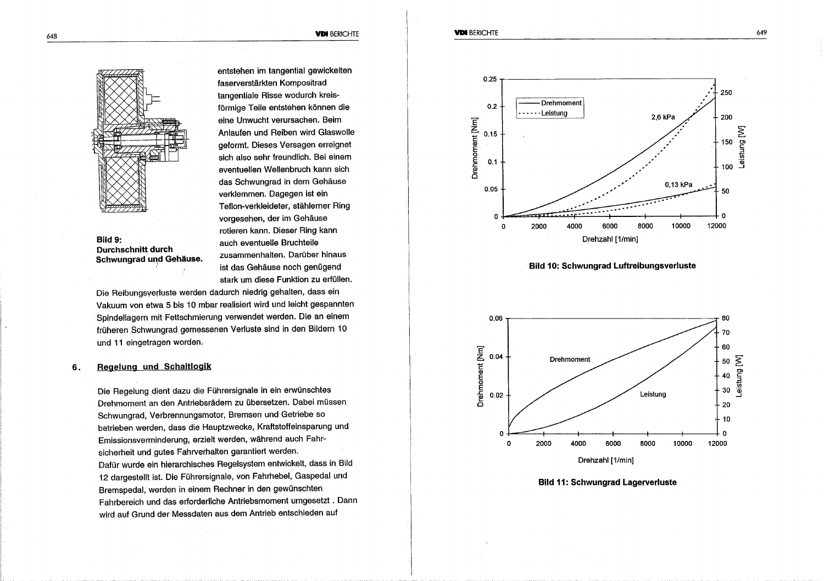#### **VDI BERICHTE**



Bild 9: **Durchschnitt durch** Schwungrad und Gehäuse. entstehen im tangential gewickelten faserverstärkten Kompositrad tangentiale Risse wodurch kreisförmige Teile entstehen können die eine Unwucht verursachen. Beim Anlaufen und Reiben wird Glaswolle geformt. Dieses Versagen erreignet sich also sehr freundlich. Bei einem eventuellen Wellenbruch kann sich das Schwungrad in dem Gehäuse verklemmen. Dagegen ist ein Teflon-verkleideter, stählerner Ring vorgesehen, der im Gehäuse rotieren kann. Dieser Ring kann auch eventuelle Bruchteile zusammenhalten. Darüber hinaus ist das Gehäuse noch genügend stark um diese Funktion zu erfüllen.

Die Reibungsverluste werden dadurch niedrig gehalten, dass ein Vakuum von etwa 5 bis 10 mbar realisiert wird und leicht gespannten Spindellagern mit Fettschmierung verwendet werden. Die an einem früheren Schwungrad gemessenen Verluste sind in den Bildern 10 und 11 eingetragen worden.

#### Regelung und Schaltlogik 6.

Die Regelung dient dazu die Führersignale in ein erwünschtes Drehmoment an den Antriebsrädern zu übersetzen. Dabei müssen Schwungrad, Verbrennungsmotor, Bremsen und Getriebe so betrieben werden, dass die Hauptzwecke, Kraftstoffeinsparung und Emissionsverminderung, erzielt werden, während auch Fahrsicherheit und gutes Fahrverhalten garantiert werden. Dafür wurde ein hierarchisches Regelsystem entwickelt, dass in Bild 12 dargestellt ist. Die Führersignale, von Fahrhebel, Gaspedal und Bremspedal, werden in einem Rechner in den gewünschten Fahrbereich und das erforderliche Antriebsmoment umgesetzt . Dann wird auf Grund der Messdaten aus dem Antrieb entschieden auf







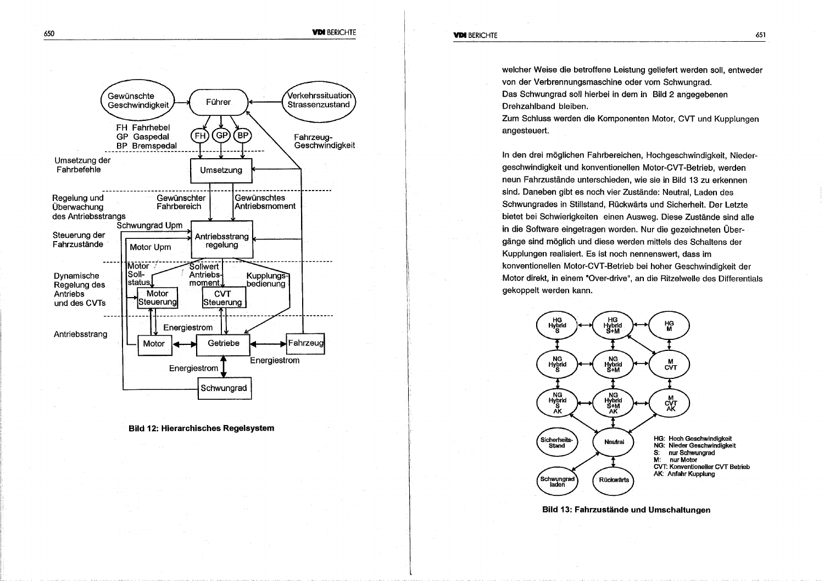welcher Weise die betroffene Leistung geliefert werden soll, entweder von der Verbrennungsmaschine oder vom Schwungrad. Das Schwungrad soll hierbei in dem in Bild 2 angegebenen Drehzahlband bleiben.

Zum Schluss werden die Komponenten Motor, CVT und Kupplungen angesteuert.

In den drei möglichen Fahrbereichen, Hochgeschwindigkeit, Niedergeschwindigkeit und konventionellen Motor-CVT-Betrieb, werden neun Fahrzustände unterschieden, wie sie in Bild 13 zu erkennen sind. Daneben gibt es noch vier Zustände: Neutral, Laden des Schwungrades in Stillstand, Rückwärts und Sicherheit. Der Letzte bietet bei Schwierigkeiten einen Ausweg. Diese Zustände sind alle in die Software eingetragen worden. Nur die gezeichneten Übergänge sind möglich und diese werden mittels des Schaltens der Kupplungen realisiert. Es ist noch nennenswert, dass im konventionellen Motor-CVT-Betrieb bei hoher Geschwindigkeit der Motor direkt, in einem "Over-drive", an die Ritzelwelle des Differentials gekoppelt werden kann.



Bild 13: Fahrzustände und Umschaltungen





**Bild 12: Hierarchisches Regelsystem**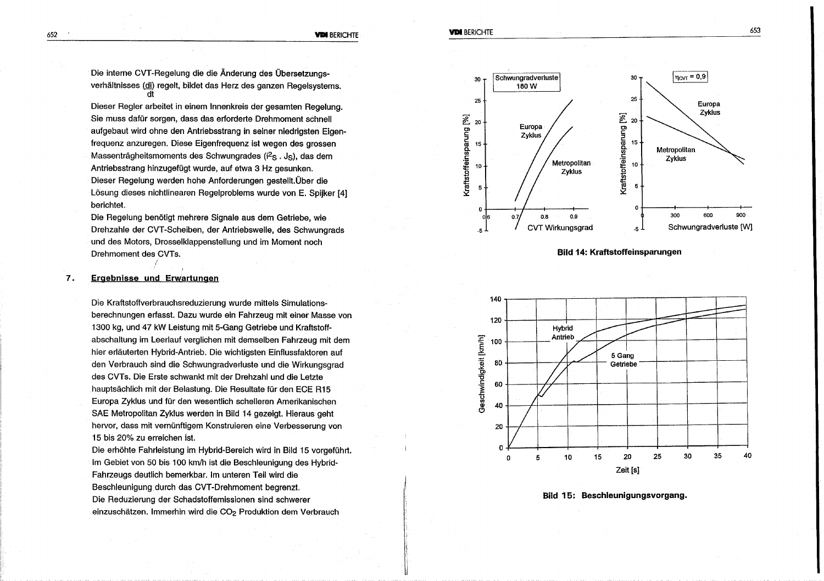#### **VDI BERICHTE**

Die interne CVT-Regelung die die Änderung des Übersetzungsverhältnisses (di) regelt, bildet das Herz des ganzen Regelsystems. rit

Dieser Regler arbeitet in einem Innenkreis der gesamten Regelung. Sie muss dafür sorgen, dass das erforderte Drehmoment schnell aufgebaut wird ohne den Antriebsstrang in seiner niedrigsten Eigenfrequenz anzuregen. Diese Eigenfrequenz ist wegen des grossen Massenträgheitsmoments des Schwungrades (i<sup>2</sup>s. Js), das dem Antriebsstrang hinzugefügt wurde, auf etwa 3 Hz gesunken. Dieser Regelung werden hohe Anforderungen gestellt. Über die Lösung dieses nichtlinearen Regelproblems wurde von E. Spilker [4] berichtet.

Die Regelung benötigt mehrere Signale aus dem Getriebe, wie Drehzahle der CVT-Scheiben, der Antriebswelle, des Schwungrads und des Motors, Drosselklappenstellung und im Moment noch Drehmoment des CVTs.

#### **Ergebnisse und Erwartungen** 7.

Die Kraftstoffverbrauchsreduzierung wurde mittels Simulationsberechnungen erfasst. Dazu wurde ein Fahrzeug mit einer Masse von 1300 kg, und 47 kW Leistung mit 5-Gang Getriebe und Kraftstoffabschaltung im Leerlauf verglichen mit demselben Fahrzeug mit dem hier erläuterten Hybrid-Antrieb. Die wichtigsten Einflussfaktoren auf den Verbrauch sind die Schwungradverluste und die Wirkungsgrad des CVTs. Die Erste schwankt mit der Drehzahl und die Letzte hauptsächlich mit der Belastung. Die Resultate für den ECE R15 Europa Zyklus und für den wesentlich schelleren Amerikanischen SAE Metropolitan Zyklus werden in Bild 14 gezeigt. Hieraus geht hervor, dass mit vernünftigem Konstruieren eine Verbesserung von 15 bis 20% zu erreichen ist.

Die erhöhte Fahrleistung im Hybrid-Bereich wird in Bild 15 vorgeführt. Im Gebiet von 50 bis 100 km/h ist die Beschleunigung des Hybrid-Fahrzeugs deutlich bemerkbar. Im unteren Teil wird die Beschleunigung durch das CVT-Drehmoment begrenzt. Die Reduzierung der Schadstoffemissionen sind schwerer einzuschätzen. Immerhin wird die CO<sub>2</sub> Produktion dem Verbrauch



Bild 14: Kraftstoffeinsparungen



Bild 15: Beschleunigungsvorgang.

652